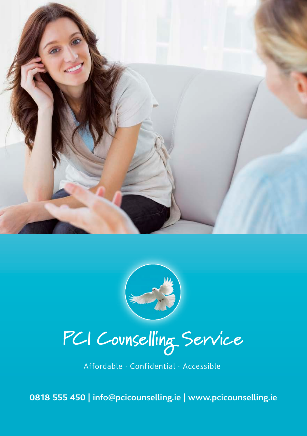



**PCI Counselling Service**

Affordable · Confidential · Accessible

**0818 555 450** | info@pcicounselling.ie | www.pcicounselling.ie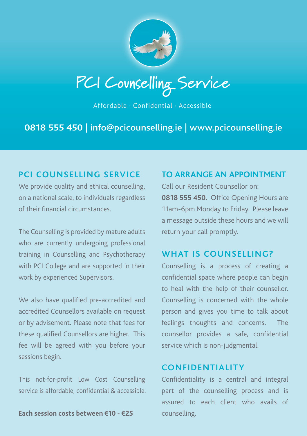

**PCI Counselling Service**

Affordable · Confidential · Accessible

**0818 555 450** | info@pcicounselling.ie | www.pcicounselling.ie

# **PCI COUNSELLING SERVICE**

We provide quality and ethical counselling, on a national scale, to individuals regardless of their financial circumstances.

The Counselling is provided by mature adults who are currently undergoing professional training in Counselling and Psychotherapy with PCI College and are supported in their work by experienced Supervisors.

We also have qualified pre-accredited and accredited Counsellors available on request or by advisement. Please note that fees for these qualified Counsellors are higher. This fee will be agreed with you before your sessions begin.

This not-for-profit Low Cost Counselling service is affordable, confidential & accessible.

**Each session costs between €10 - €25**

# **TO ARRANGE AN APPOINTMENT**

Call our Resident Counsellor on: **0818 555 450.** Office Opening Hours are 11am-6pm Monday to Friday. Please leave a message outside these hours and we will return your call promptly.

## **WHAT IS COUNSELLING?**

Counselling is a process of creating a confidential space where people can begin to heal with the help of their counsellor. Counselling is concerned with the whole person and gives you time to talk about feelings thoughts and concerns. The counsellor provides a safe, confidential service which is non-judgmental.

# **CONFIDENTIALITY**

Confidentiality is a central and integral part of the counselling process and is assured to each client who avails of counselling.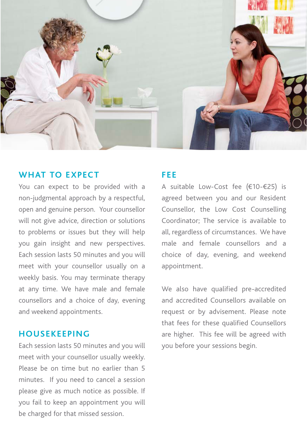

#### **WHAT TO EXPECT**

You can expect to be provided with a non-judgmental approach by a respectful, open and genuine person. Your counsellor will not give advice, direction or solutions to problems or issues but they will help you gain insight and new perspectives. Each session lasts 50 minutes and you will meet with your counsellor usually on a weekly basis. You may terminate therapy at any time. We have male and female counsellors and a choice of day, evening and weekend appointments.

## **HOUSEKEEPING**

Each session lasts 50 minutes and you will meet with your counsellor usually weekly. Please be on time but no earlier than 5 minutes. If you need to cancel a session please give as much notice as possible. If you fail to keep an appointment you will be charged for that missed session.

#### **FEE**

A suitable Low-Cost fee (€10-€25) is agreed between you and our Resident Counsellor, the Low Cost Counselling Coordinator; The service is available to all, regardless of circumstances. We have male and female counsellors and a choice of day, evening, and weekend appointment.

We also have qualified pre-accredited and accredited Counsellors available on request or by advisement. Please note that fees for these qualified Counsellors are higher. This fee will be agreed with you before your sessions begin.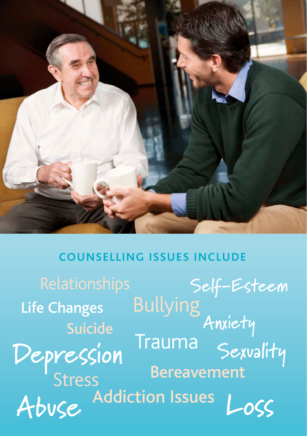

# **COUNSELLING ISSUES INCLUDE**

**Depression Anxiety Self-Esteem** Stress Bereavement Life Changes Suicide Addiction Issues Trauma Sexvality Bullying **Abuse Loss**